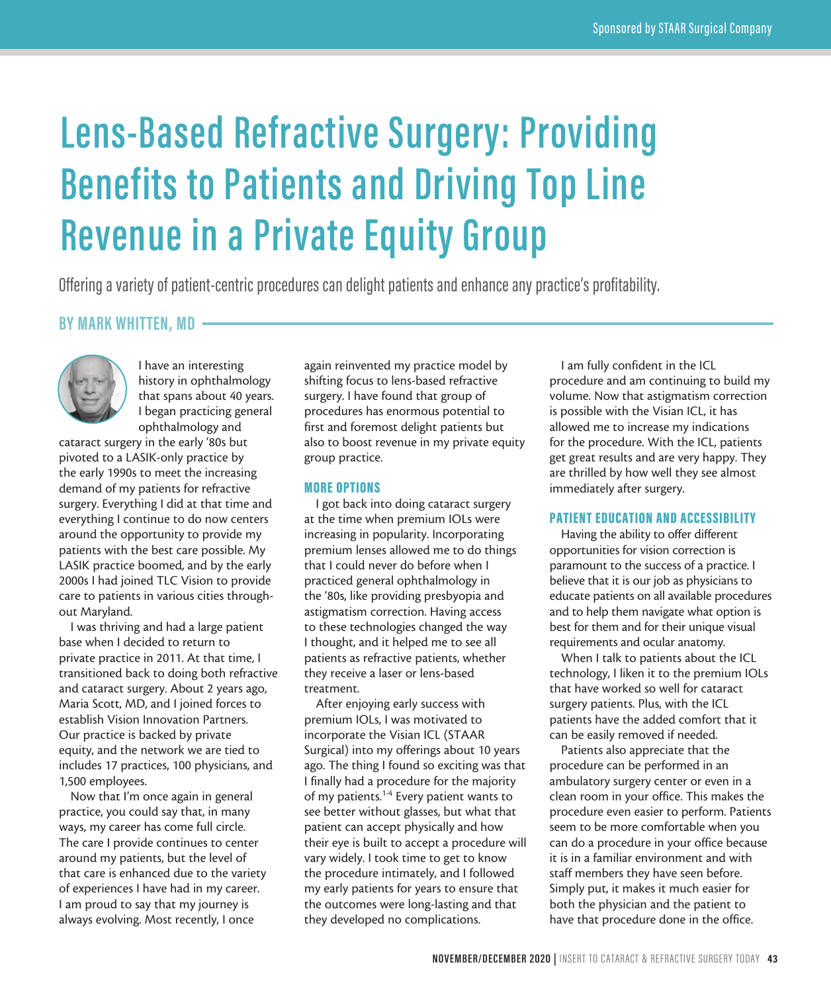# **Lens-Based Refractive Surgery: Providing Benefits to Patients and Driving Top Line Revenue in a Private Equity Group**

Offering a variety of patient-centric procedures can delight patients and enhance any practice's profitability.

## **BY MARK WHITTEN, MD**



I have an interesting history in ophthalmology that spans about 40 years. I began practicing general ophthalmology and

cataract surgery in the early '80s but pivoted to a LASIK-only practice by the early 1990s to meet the increasing demand of my patients for refractive surgery. Everything I did at that time and everything I continue to do now centers around the opportunity to provide my patients with the best care possible. My LASIK practice boomed, and by the early 2000s I had joined TLC Vision to provide care to patients in various cities throughout Maryland.

I was thriving and had a large patient base when I decided to return to private practice in 2011. At that time, I transitioned back to doing both refractive and cataract surgery. About 2 years ago, Maria Scott, MD, and I joined forces to establish Vision Innovation Partners. Our practice is backed by private equity, and the network we are tied to includes 17 practices, 100 physicians, and 1,500 employees.

Now that I'm once again in general practice, you could say that, in many ways, my career has come full circle. The care I provide continues to center around my patients, but the level of that care is enhanced due to the variety of experiences I have had in my career. I am proud to say that my journey is always evolving. Most recently, I once

again reinvented my practice model by shifting focus to lens-based refractive surgery. I have found that group of procedures has enormous potential to first and foremost delight patients but also to boost revenue in my private equity group practice.

#### MORE OPTIONS

I got back into doing cataract surgery at the time when premium IOLs were increasing in popularity. Incorporating premium lenses allowed me to do things that I could never do before when I practiced general ophthalmology in the '80s, like providing presbyopia and astigmatism correction. Having access to these technologies changed the way I thought, and it helped me to see all patients as refractive patients, whether they receive a laser or lens-based treatment.

After enjoying early success with premium IOLs, I was motivated to incorporate the Visian ICL (STAAR Surgical) into my offerings about 10 years ago. The thing I found so exciting was that I finally had a procedure for the majority of my patients.<sup>1-4</sup> Every patient wants to see better without glasses, but what that patient can accept physically and how their eye is built to accept a procedure will vary widely. I took time to get to know the procedure intimately, and I followed my early patients for years to ensure that the outcomes were long-lasting and that they developed no complications.

I am fully confident in the ICL procedure and am continuing to build my volume. Now that astigmatism correction is possible with the Visian ICL, it has allowed me to increase my indications for the procedure. With the ICL, patients get great results and are very happy. They are thrilled by how well they see almost immediately after surgery.

#### PATIENT EDUCATION AND ACCESSIBILITY

Having the ability to offer different opportunities for vision correction is paramount to the success of a practice. I believe that it is our job as physicians to educate patients on all available procedures and to help them navigate what option is best for them and for their unique visual requirements and ocular anatomy.

When I talk to patients about the ICL technology, I liken it to the premium IOLs that have worked so well for cataract surgery patients. Plus, with the ICL patients have the added comfort that it can be easily removed if needed.

Patients also appreciate that the procedure can be performed in an ambulatory surgery center or even in a clean room in your office. This makes the procedure even easier to perform. Patients seem to be more comfortable when you can do a procedure in your office because it is in a familiar environment and with staff members they have seen before. Simply put, it makes it much easier for both the physician and the patient to have that procedure done in the office.